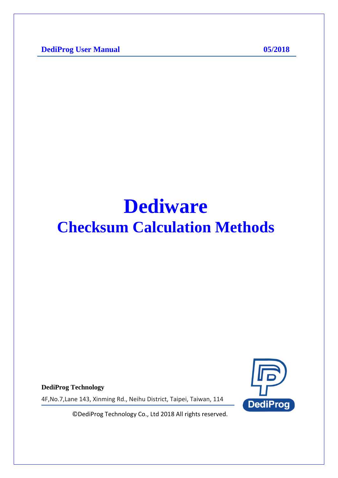**DediProg User Manual 05/2018** 

# **Dediware Checksum Calculation Methods**

**DediProg Technology**

4F,No.7,Lane 143, Xinming Rd., Neihu District, Taipei, Taiwan, 114

**DediProg** 

© DediProg Technology Co., Ltd 2018 All rights reserved.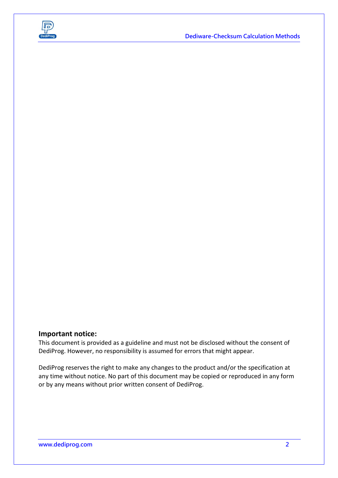

#### **Important notice:**

This document is provided as a guideline and must not be disclosed without the consent of DediProg. However, no responsibility is assumed for errors that might appear.

DediProg reserves the right to make any changes to the product and/or the specification at any time without notice. No part of this document may be copied or reproduced in any form or by any means without prior written consent of DediProg.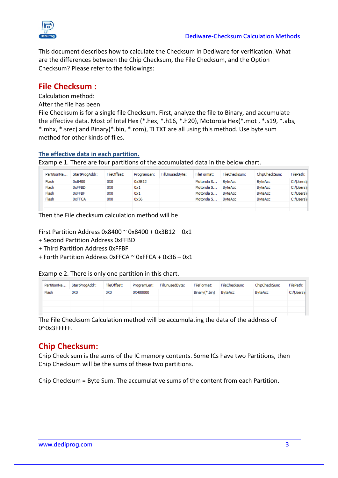

This document describes how to calculate the Checksum in Dediware for verification. What are the differences between the Chip Checksum, the File Checksum, and the Option Checksum? Please refer to the followings:

#### **File Checksum :**

Calculation method:

After the file has been

File Checksum is for a single file Checksum. First, analyze the file to Binary, and accumulate the effective data. Most of Intel Hex (\*.hex, \*.h16, \*.h20), Motorola Hex(\*.mot , \*.s19, \*.abs, \*.mhx, \*.srec) and Binary(\*.bin, \*.rom), TI TXT are all using this method. Use byte sum method for other kinds of files.

#### **The effective data in each partition.**

Example 1. There are four partitions of the accumulated data in the below chart.

| PartitionNa | StartProgAddr: | FileOffset: | ProgramLen: | FillUnusedByte: | FileFormat: | FileChecksum:  | ChipCheckSum:  | FilePath: |
|-------------|----------------|-------------|-------------|-----------------|-------------|----------------|----------------|-----------|
| Flash       | 0x8400         | oxo         | 0x3B12      |                 | Motorola S  | <b>ByteAcc</b> | <b>ByteAcc</b> | C:\Users\ |
| Flash       | 0xFFBD         | oxo         | 0x1         |                 | Motorola S  | <b>ByteAcc</b> | <b>ByteAcc</b> | C:\Users\ |
| Flash       | 0xFFBF         | oxo         | 0x1         |                 | Motorola S  | <b>ByteAcc</b> | <b>ByteAcc</b> | C:\Users\ |
| Flash       | 0xFFCA         | oxo         | 0x36        |                 | Motorola S  | <b>ByteAcc</b> | <b>ByteAcc</b> | C:\Users\ |
|             |                |             |             |                 |             |                |                |           |

Then the File checksum calculation method will be

First Partition Address  $0x8400$   $\sim$   $0x8400 + 0x3B12 - 0x1$ 

- + Second Partition Address 0xFFBD
- + Third Partition Address 0xFFBF
- + Forth Partition Address 0xFFCA ~ 0xFFCA + 0x36 0x1

Example 2. There is only one partition in this chart.

| PartitionNa<br>Flash | StartProgAddr:<br>oxo | FileOffset:<br>oxo | ProgramLen:<br>0X400000 | FillUnusedByte: | FileFormat:<br>Binary(*.bin) | FileChecksum:<br><b>ByteAcc</b> | ChipCheckSum:<br><b>ByteAcc</b> | FilePath:<br>C:\Users\ |
|----------------------|-----------------------|--------------------|-------------------------|-----------------|------------------------------|---------------------------------|---------------------------------|------------------------|
|                      |                       |                    |                         |                 |                              |                                 |                                 |                        |
|                      |                       |                    |                         |                 |                              |                                 |                                 |                        |
|                      |                       |                    |                         |                 |                              |                                 |                                 |                        |

The File Checksum Calculation method will be accumulating the data of the address of 0~0x3FFFFF.

## **Chip Checksum:**

Chip Check sum is the sums of the IC memory contents. Some ICs have two Partitions, then Chip Checksum will be the sums of these two partitions.

Chip Checksum = Byte Sum. The accumulative sums of the content from each Partition.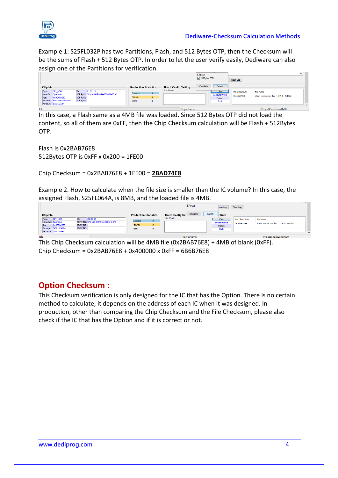

Example 1: S25FL032P has two Partitions, Flash, and 512 Bytes OTP, then the Checksum will be the sums of Flash + 512 Bytes OTP. In order to let the user verify easily, Dediware can also assign one of the Partitions for verification.

|             |                                      |           |                                                |          |                              |                                           | $\Box$ Flash<br>□ 512Bytes OTP |                    | Clear Log     |                                       | $\checkmark$ |     |
|-------------|--------------------------------------|-----------|------------------------------------------------|----------|------------------------------|-------------------------------------------|--------------------------------|--------------------|---------------|---------------------------------------|--------------|-----|
| - ChipInfo- |                                      |           |                                                |          | <b>Production Statistics</b> | <b>Batch Config Setting</b><br>StartMode: | Calculate                      | Cancel             |               |                                       |              |     |
| Type:       | <b>SPI NOR</b><br>Manufact: Spansion | ID:       | 010215<br>ADP P/N1: SPI-100-BGA024-080060-001O | Success: | $\mathbf{0}$                 |                                           |                                | Chip<br>0x2BAD74E8 | File CheckSum | File Name                             |              |     |
| Size:       | Dx00400280                           | ADP P/N2: |                                                | Failure: | $\bullet$                    |                                           |                                | Option             | 0x2BAB76E8    | iflash_xiaomi.dev.lx2_1.2.9-0_4MB.bin |              |     |
|             | Package: BGA24 6x8 4x6ball           | ADP P/N3: |                                                | Total:   | $\circ$                      |                                           |                                | 0x0                |               |                                       |              |     |
|             | PartNum: S25FL032P                   |           |                                                |          |                              |                                           |                                |                    |               |                                       |              | Ad- |
| Idle        |                                      |           |                                                |          |                              | ProjectName:                              |                                |                    |               | ProjectCheckSum:0x00                  |              |     |

In this case, a Flash same as a 4MB file was loaded. Since 512 Bytes OTP did not load the content, so all of them are 0xFF, then the Chip Checksum calculation will be Flash + 512Bytes OTP.

Flash is 0x2BAB76E8 512Bytes OTP is 0xFF x 0x200 = 1FE00

Chip Checksum = 0x2BAB76E8 + 1FE00 = **2BAD74E8**

Example 2. How to calculate when the file size is smaller than the IC volume? In this case, the assigned Flash, S25FL064A, is 8MB, and the loaded file is 4MB.

|                         |                                      |                              | $\Box$ Flash                                              | Clear Log<br>ave Log                                              |
|-------------------------|--------------------------------------|------------------------------|-----------------------------------------------------------|-------------------------------------------------------------------|
| Chipinfo                |                                      | <b>Production Statistics</b> | Calculate<br>Cancel<br>-Batch Config Set !!<br>StartMode: | $k$ Sum                                                           |
| <b>SPI NOR</b><br>Type: | 010216<br>ID:                        | Success:<br>$\mathbf{0}$     |                                                           | File CheckSum<br><b>File Name</b><br>Chip                         |
| Manufact: Spansion      | ADP P/N1: SPI-127-SOP016-300mil-01FE |                              |                                                           | 0x6B6B76E8<br>iflash_xiaomi.dev.lx2_1.2.9-0_4MB.bin<br>0x2BAB76E8 |
| 0x00800080<br>Size:     | ADP P/N2:                            | Failure:<br>$\bullet$        |                                                           | Option                                                            |
| Package: SOP16 300mil   | ADP P/N3:                            | Total:<br>٥                  |                                                           | 0x0                                                               |
| PartNum: S25FL064A      |                                      |                              |                                                           |                                                                   |
| <b>Lating</b>           |                                      |                              | DenisetManage                                             | Designed has became 0.00                                          |

This Chip Checksum calculation will be 4MB file (0x2BAB76E8) + 4MB of blank (0xFF). Chip Checksum = 0x2BAB76E8 + 0x400000 x 0xFF = 6B6B76E8

## **Option Checksum :**

This Checksum verification is only designed for the IC that has the Option. There is no certain method to calculate; it depends on the address of each IC when it was designed. In production, other than comparing the Chip Checksum and the File Checksum, please also check if the IC that has the Option and if it is correct or not.